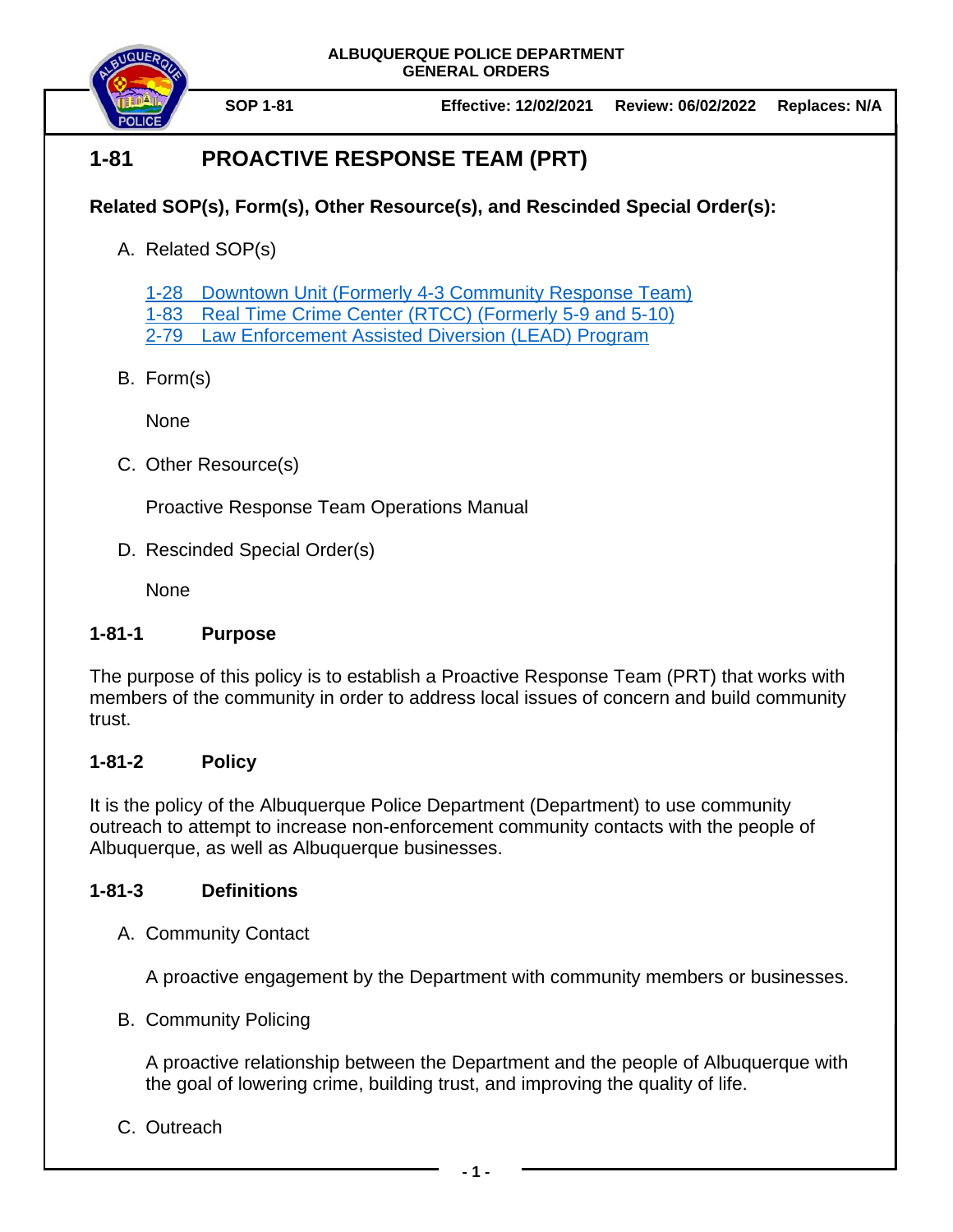



**SOP 1-81 Effective: 12/02/2021 Review: 06/02/2022 Replaces: N/A**

# **1-81 PROACTIVE RESPONSE TEAM (PRT)**

## **Related SOP(s), Form(s), Other Resource(s), and Rescinded Special Order(s):**

A. Related SOP(s)

1-28 Downtown Unit (Formerly 4-3 [Community Response Team\)](https://powerdms.com/docs/642484)

1-83 [Real Time Crime Center \(RTCC\) \(Formerly 5-9 and 5-10\)](https://powerdms.com/docs/941)

2-79 [Law Enforcement Assisted Diversion \(LEAD\)](https://powerdms.com/docs/1820177) Program

B. Form(s)

None

C. Other Resource(s)

Proactive Response Team Operations Manual

D. Rescinded Special Order(s)

None

## **1-81-1 Purpose**

The purpose of this policy is to establish a Proactive Response Team (PRT) that works with members of the community in order to address local issues of concern and build community trust.

## **1-81-2 Policy**

It is the policy of the Albuquerque Police Department (Department) to use community outreach to attempt to increase non-enforcement community contacts with the people of Albuquerque, as well as Albuquerque businesses.

## **1-81-3 Definitions**

A. Community Contact

A proactive engagement by the Department with community members or businesses.

B. Community Policing

A proactive relationship between the Department and the people of Albuquerque with the goal of lowering crime, building trust, and improving the quality of life.

C. Outreach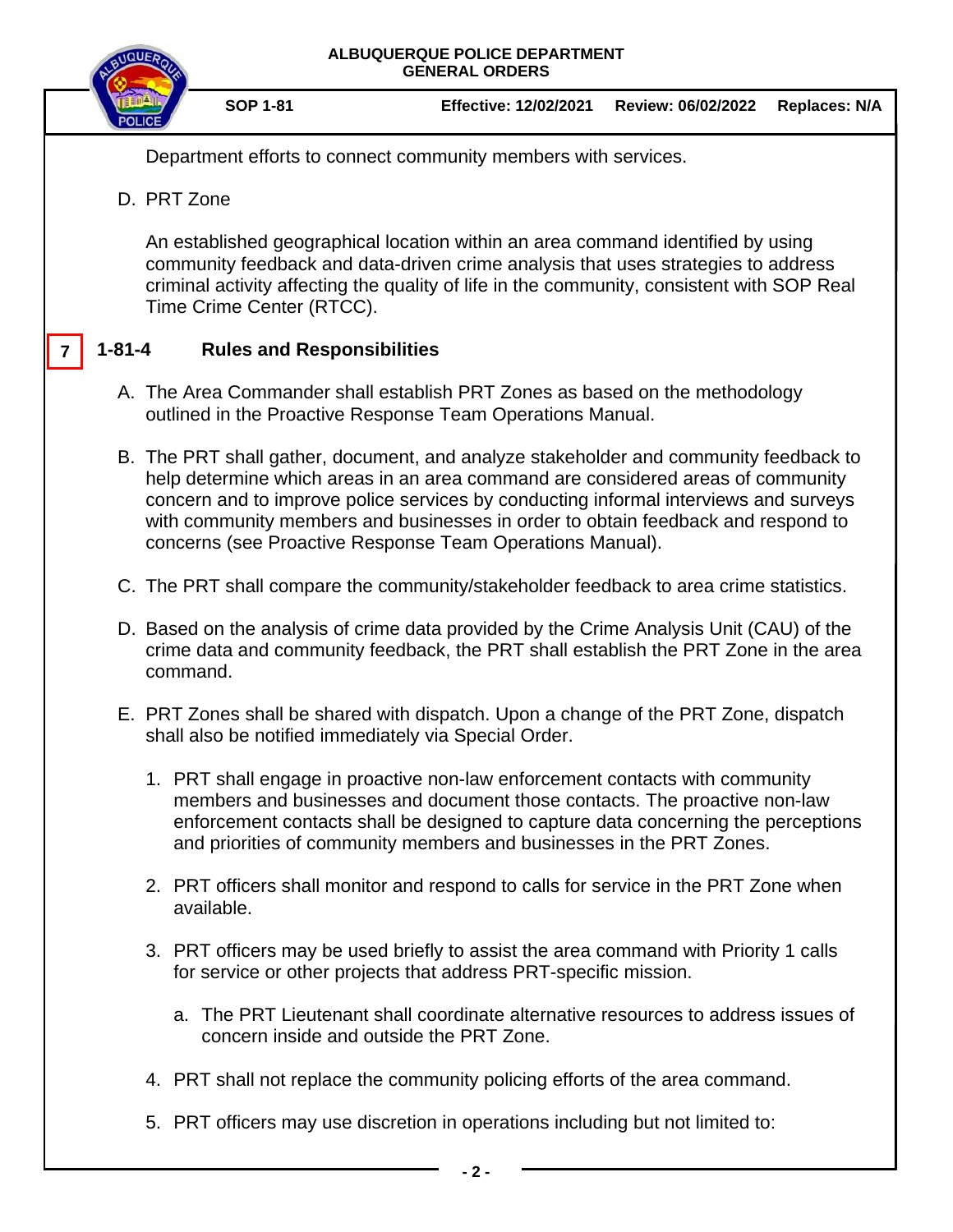

5. PRT officers may use discretion in operations including but not limited to: